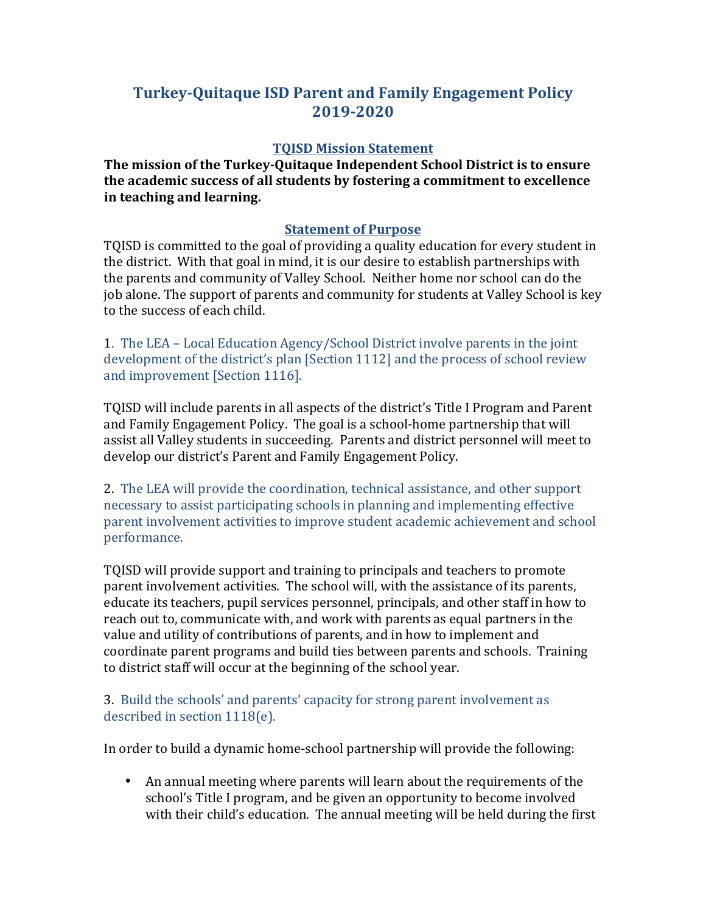## **Turkey-Quitaque ISD Parent and Family Engagement Policy 2019-2020**

## **TQISD Mission Statement**

**The mission of the Turkey-Quitaque Independent School District is to ensure** the academic success of all students by fostering a commitment to excellence **in teaching and learning.** 

## **Statement of Purpose**

TQISD is committed to the goal of providing a quality education for every student in the district. With that goal in mind, it is our desire to establish partnerships with the parents and community of Valley School. Neither home nor school can do the job alone. The support of parents and community for students at Valley School is key to the success of each child.

1. The LEA – Local Education Agency/School District involve parents in the joint development of the district's plan [Section 1112] and the process of school review and improvement [Section 1116].

TQISD will include parents in all aspects of the district's Title I Program and Parent and Family Engagement Policy. The goal is a school-home partnership that will assist all Valley students in succeeding. Parents and district personnel will meet to develop our district's Parent and Family Engagement Policy.

2. The LEA will provide the coordination, technical assistance, and other support necessary to assist participating schools in planning and implementing effective parent involvement activities to improve student academic achievement and school performance.

TQISD will provide support and training to principals and teachers to promote parent involvement activities. The school will, with the assistance of its parents, educate its teachers, pupil services personnel, principals, and other staff in how to reach out to, communicate with, and work with parents as equal partners in the value and utility of contributions of parents, and in how to implement and coordinate parent programs and build ties between parents and schools. Training to district staff will occur at the beginning of the school year.

## 3. Build the schools' and parents' capacity for strong parent involvement as described in section  $1118(e)$ .

In order to build a dynamic home-school partnership will provide the following:

• An annual meeting where parents will learn about the requirements of the school's Title I program, and be given an opportunity to become involved with their child's education. The annual meeting will be held during the first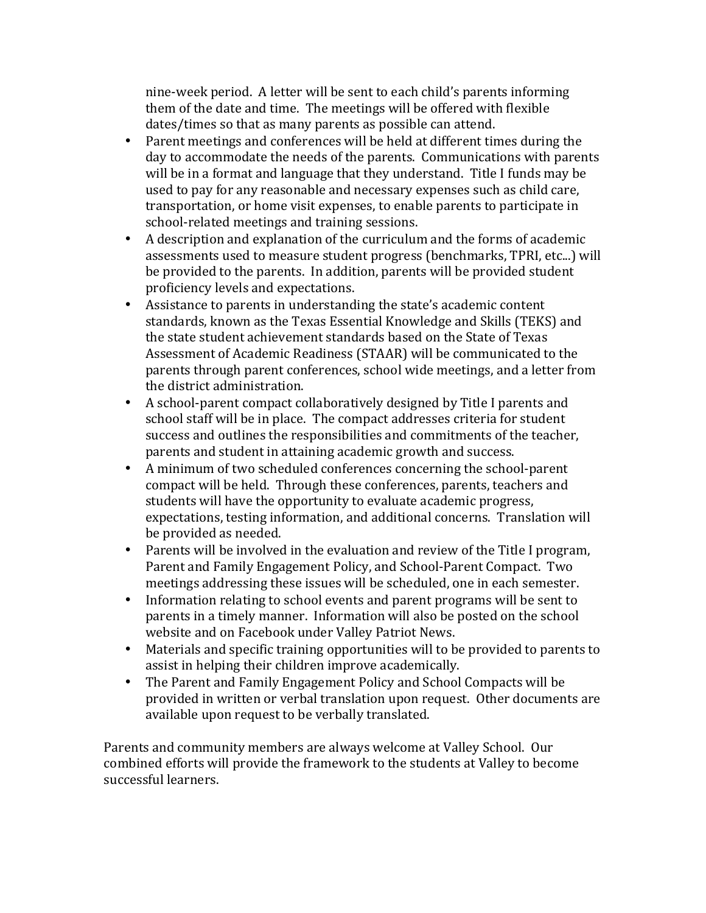nine-week period. A letter will be sent to each child's parents informing them of the date and time. The meetings will be offered with flexible dates/times so that as many parents as possible can attend.

- Parent meetings and conferences will be held at different times during the day to accommodate the needs of the parents. Communications with parents will be in a format and language that they understand. Title I funds may be used to pay for any reasonable and necessary expenses such as child care, transportation, or home visit expenses, to enable parents to participate in school-related meetings and training sessions.
- A description and explanation of the curriculum and the forms of academic assessments used to measure student progress (benchmarks, TPRI, etc...) will be provided to the parents. In addition, parents will be provided student proficiency levels and expectations.
- Assistance to parents in understanding the state's academic content standards, known as the Texas Essential Knowledge and Skills (TEKS) and the state student achievement standards based on the State of Texas Assessment of Academic Readiness (STAAR) will be communicated to the parents through parent conferences, school wide meetings, and a letter from the district administration.
- A school-parent compact collaboratively designed by Title I parents and school staff will be in place. The compact addresses criteria for student success and outlines the responsibilities and commitments of the teacher, parents and student in attaining academic growth and success.
- A minimum of two scheduled conferences concerning the school-parent compact will be held. Through these conferences, parents, teachers and students will have the opportunity to evaluate academic progress, expectations, testing information, and additional concerns. Translation will be provided as needed.
- Parents will be involved in the evaluation and review of the Title I program, Parent and Family Engagement Policy, and School-Parent Compact. Two meetings addressing these issues will be scheduled, one in each semester.
- Information relating to school events and parent programs will be sent to parents in a timely manner. Information will also be posted on the school website and on Facebook under Valley Patriot News.
- Materials and specific training opportunities will to be provided to parents to assist in helping their children improve academically.
- The Parent and Family Engagement Policy and School Compacts will be provided in written or verbal translation upon request. Other documents are available upon request to be verbally translated.

Parents and community members are always welcome at Valley School. Our combined efforts will provide the framework to the students at Valley to become successful learners.